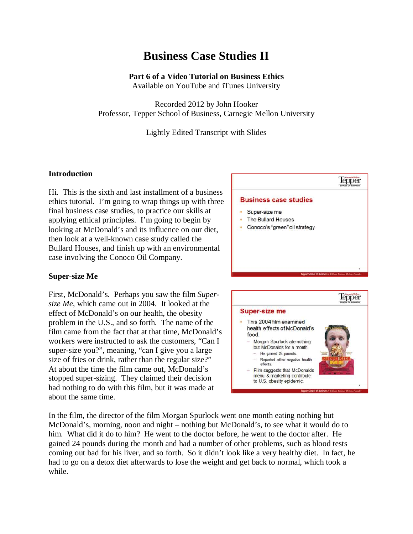# **Business Case Studies II**

# **Part 6 of a Video Tutorial on Business Ethics**

Available on YouTube and iTunes University

Recorded 2012 by John Hooker Professor, Tepper School of Business, Carnegie Mellon University

Lightly Edited Transcript with Slides

## **Introduction**

Hi. This is the sixth and last installment of a business ethics tutorial. I'm going to wrap things up with three final business case studies, to practice our skills at applying ethical principles. I'm going to begin by looking at McDonald's and its influence on our diet, then look at a well-known case study called the Bullard Houses, and finish up with an environmental case involving the Conoco Oil Company.

## **Super-size Me**

First, McDonald's. Perhaps you saw the film *Supersize Me*, which came out in 2004. It looked at the effect of McDonald's on our health, the obesity problem in the U.S., and so forth. The name of the film came from the fact that at that time, McDonald's workers were instructed to ask the customers, "Can I super-size you?", meaning, "can I give you a large size of fries or drink, rather than the regular size?" At about the time the film came out, McDonald's stopped super-sizing. They claimed their decision had nothing to do with this film, but it was made at about the same time.





In the film, the director of the film Morgan Spurlock went one month eating nothing but McDonald's, morning, noon and night – nothing but McDonald's, to see what it would do to him. What did it do to him? He went to the doctor before, he went to the doctor after. He gained 24 pounds during the month and had a number of other problems, such as blood tests coming out bad for his liver, and so forth. So it didn't look like a very healthy diet. In fact, he had to go on a detox diet afterwards to lose the weight and get back to normal, which took a while.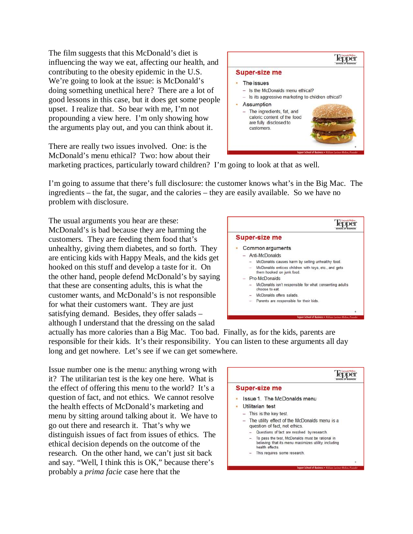The film suggests that this McDonald's diet is influencing the way we eat, affecting our health, and contributing to the obesity epidemic in the U.S. We're going to look at the issue: is McDonald's doing something unethical here? There are a lot of good lessons in this case, but it does get some people upset. I realize that. So bear with me, I'm not propounding a view here. I'm only showing how the arguments play out, and you can think about it.

There are really two issues involved. One: is the McDonald's menu ethical? Two: how about their



marketing practices, particularly toward children? I'm going to look at that as well.

I'm going to assume that there's full disclosure: the customer knows what's in the Big Mac. The ingredients – the fat, the sugar, and the calories – they are easily available. So we have no problem with disclosure.

The usual arguments you hear are these: McDonald's is bad because they are harming the customers. They are feeding them food that's unhealthy, giving them diabetes, and so forth. They are enticing kids with Happy Meals, and the kids get hooked on this stuff and develop a taste for it. On the other hand, people defend McDonald's by saying that these are consenting adults, this is what the customer wants, and McDonald's is not responsible for what their customers want. They are just satisfying demand. Besides, they offer salads – although I understand that the dressing on the salad



actually has more calories than a Big Mac. Too bad. Finally, as for the kids, parents are responsible for their kids. It's their responsibility. You can listen to these arguments all day long and get nowhere. Let's see if we can get somewhere.

Issue number one is the menu: anything wrong with it? The utilitarian test is the key one here. What is the effect of offering this menu to the world? It's a question of fact, and not ethics. We cannot resolve the health effects of McDonald's marketing and menu by sitting around talking about it. We have to go out there and research it. That's why we distinguish issues of fact from issues of ethics. The ethical decision depends on the outcome of the research. On the other hand, we can't just sit back and say. "Well, I think this is OK," because there's probably a *prima facie* case here that the

|  | <b>Super-size me</b>                                                                                                       |
|--|----------------------------------------------------------------------------------------------------------------------------|
|  | Issue 1. The McDonalds menu                                                                                                |
|  | Utilitarian test                                                                                                           |
|  | - This is the key test.                                                                                                    |
|  | - The utility effect of the McDonalds menu is a<br>question of fact, not ethics.                                           |
|  | Questions of fact are resolved by research.                                                                                |
|  | To pass the test, McDonalds must be rational in<br>believing that its menu maximizes utility, including<br>health effects. |
|  | This requires some research.                                                                                               |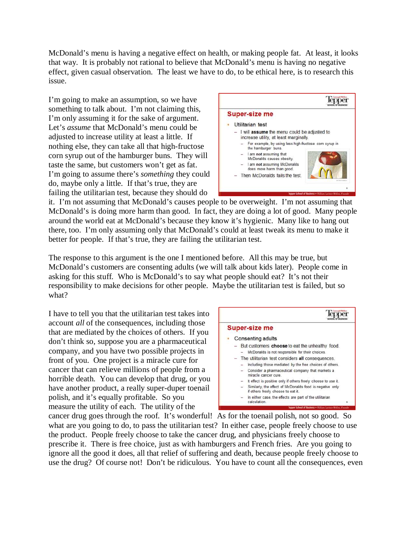McDonald's menu is having a negative effect on health, or making people fat. At least, it looks that way. It is probably not rational to believe that McDonald's menu is having no negative effect, given casual observation. The least we have to do, to be ethical here, is to research this issue.

I'm going to make an assumption, so we have something to talk about. I'm not claiming this, I'm only assuming it for the sake of argument. Let's *assume* that McDonald's menu could be adjusted to increase utility at least a little. If nothing else, they can take all that high-fructose corn syrup out of the hamburger buns. They will taste the same, but customers won't get as fat. I'm going to assume there's *something* they could do, maybe only a little. If that's true, they are failing the utilitarian test, because they should do



it. I'm not assuming that McDonald's causes people to be overweight. I'm not assuming that McDonald's is doing more harm than good. In fact, they are doing a lot of good. Many people around the world eat at McDonald's because they know it's hygienic. Many like to hang out there, too. I'm only assuming only that McDonald's could at least tweak its menu to make it better for people. If that's true, they are failing the utilitarian test.

The response to this argument is the one I mentioned before. All this may be true, but McDonald's customers are consenting adults (we will talk about kids later). People come in asking for this stuff. Who is McDonald's to say what people should eat? It's not their responsibility to make decisions for other people. Maybe the utilitarian test is failed, but so what?

I have to tell you that the utilitarian test takes into account *all* of the consequences, including those that are mediated by the choices of others. If you don't think so, suppose you are a pharmaceutical company, and you have two possible projects in front of you. One project is a miracle cure for cancer that can relieve millions of people from a horrible death. You can develop that drug, or you have another product, a really super-duper toenail polish, and it's equally profitable. So you measure the utility of each. The utility of the



cancer drug goes through the roof. It's wonderful! As for the toenail polish, not so good. So what are you going to do, to pass the utilitarian test? In either case, people freely choose to use the product. People freely choose to take the cancer drug, and physicians freely choose to prescribe it. There is free choice, just as with hamburgers and French fries. Are you going to ignore all the good it does, all that relief of suffering and death, because people freely choose to use the drug? Of course not! Don't be ridiculous. You have to count all the consequences, even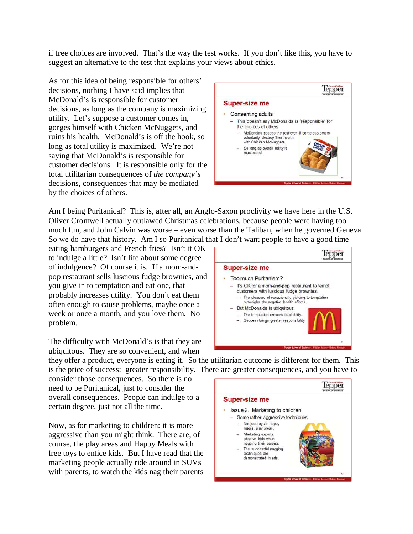if free choices are involved. That's the way the test works. If you don't like this, you have to suggest an alternative to the test that explains your views about ethics.

As for this idea of being responsible for others' decisions, nothing I have said implies that McDonald's is responsible for customer decisions, as long as the company is maximizing utility. Let's suppose a customer comes in, gorges himself with Chicken McNuggets, and ruins his health. McDonald's is off the hook, so long as total utility is maximized. We're not saying that McDonald's is responsible for customer decisions. It is responsible only for the total utilitarian consequences of *the company's* decisions, consequences that may be mediated by the choices of others.



Am I being Puritanical? This is, after all, an Anglo-Saxon proclivity we have here in the U.S. Oliver Cromwell actually outlawed Christmas celebrations, because people were having too much fun, and John Calvin was worse – even worse than the Taliban, when he governed Geneva. So we do have that history. Am I so Puritanical that I don't want people to have a good time

eating hamburgers and French fries? Isn't it OK to indulge a little? Isn't life about some degree of indulgence? Of course it is. If a mom-andpop restaurant sells luscious fudge brownies, and you give in to temptation and eat one, that probably increases utility. You don't eat them often enough to cause problems, maybe once a week or once a month, and you love them. No problem.

The difficulty with McDonald's is that they are ubiquitous. They are so convenient, and when

they offer a product, everyone is eating it. So the utilitarian outcome is different for them. This is the price of success: greater responsibility. There are greater consequences, and you have to

consider those consequences. So there is no need to be Puritanical, just to consider the overall consequences. People can indulge to a certain degree, just not all the time.

Now, as for marketing to children: it is more aggressive than you might think. There are, of course, the play areas and Happy Meals with free toys to entice kids. But I have read that the marketing people actually ride around in SUVs with parents, to watch the kids nag their parents



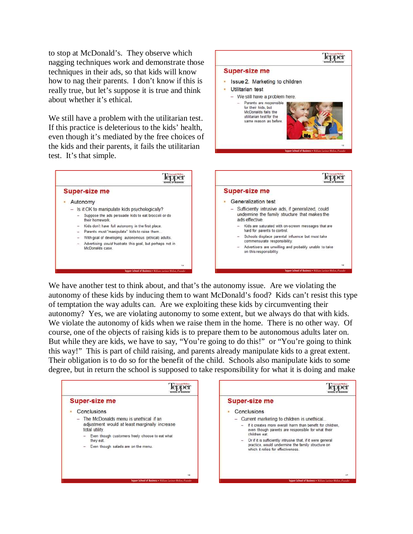to stop at McDonald's. They observe which nagging techniques work and demonstrate those techniques in their ads, so that kids will know how to nag their parents. I don't know if this is really true, but let's suppose it is true and think about whether it's ethical.

We still have a problem with the utilitarian test. If this practice is deleterious to the kids' health, even though it's mediated by the free choices of the kids and their parents, it fails the utilitarian test. It's that simple.



**Super-size me** 

Utilitarian test

· Issue 2. Marketing to children

- We still have a problem here. - Parents are responsible for their kids, but McDonalds fails the utilitarian test for the same reason as before

Tepper

We have another test to think about, and that's the autonomy issue. Are we violating the autonomy of these kids by inducing them to want McDonald's food? Kids can't resist this type of temptation the way adults can. Are we exploiting these kids by circumventing their autonomy? Yes, we are violating autonomy to some extent, but we always do that with kids. We violate the autonomy of kids when we raise them in the home. There is no other way. Of course, one of the objects of raising kids is to prepare them to be autonomous adults later on. But while they are kids, we have to say, "You're going to do this!" or "You're going to think this way!" This is part of child raising, and parents already manipulate kids to a great extent. Their obligation is to do so for the benefit of the child. Schools also manipulate kids to some degree, but in return the school is supposed to take responsibility for what it is doing and make

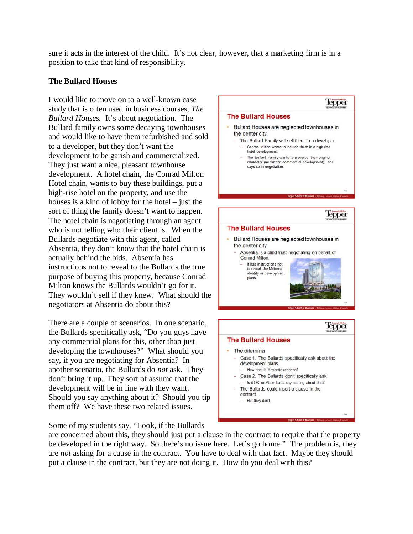sure it acts in the interest of the child. It's not clear, however, that a marketing firm is in a position to take that kind of responsibility.

# **The Bullard Houses**

I would like to move on to a well-known case study that is often used in business courses, *The Bullard Houses.* It's about negotiation. The Bullard family owns some decaying townhouses and would like to have them refurbished and sold to a developer, but they don't want the development to be garish and commercialized. They just want a nice, pleasant townhouse development. A hotel chain, the Conrad Milton Hotel chain, wants to buy these buildings, put a high-rise hotel on the property, and use the houses is a kind of lobby for the hotel – just the sort of thing the family doesn't want to happen. The hotel chain is negotiating through an agent who is not telling who their client is. When the Bullards negotiate with this agent, called Absentia, they don't know that the hotel chain is actually behind the bids. Absentia has instructions not to reveal to the Bullards the true purpose of buying this property, because Conrad Milton knows the Bullards wouldn't go for it. They wouldn't sell if they knew. What should the negotiators at Absentia do about this?

There are a couple of scenarios. In one scenario, the Bullards specifically ask, "Do you guys have any commercial plans for this, other than just developing the townhouses?" What should you say, if you are negotiating for Absentia? In another scenario, the Bullards do *not* ask. They don't bring it up. They sort of assume that the development will be in line with they want. Should you say anything about it? Should you tip them off? We have these two related issues.

Some of my students say, "Look, if the Bullards



are concerned about this, they should just put a clause in the contract to require that the property be developed in the right way. So there's no issue here. Let's go home." The problem is, they are *not* asking for a cause in the contract. You have to deal with that fact. Maybe they should put a clause in the contract, but they are not doing it. How do you deal with this?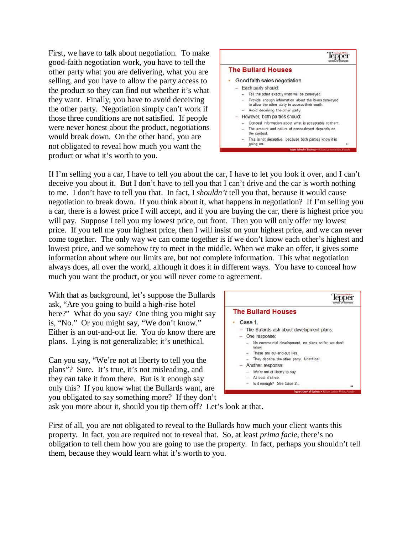First, we have to talk about negotiation. To make good-faith negotiation work, you have to tell the other party what you are delivering, what you are selling, and you have to allow the party access to the product so they can find out whether it's what they want. Finally, you have to avoid deceiving the other party. Negotiation simply can't work if those three conditions are not satisfied. If people were never honest about the product, negotiations would break down. On the other hand, you are not obligated to reveal how much you want the product or what it's worth to you.



If I'm selling you a car, I have to tell you about the car, I have to let you look it over, and I can't deceive you about it. But I don't have to tell you that I can't drive and the car is worth nothing to me. I don't have to tell you that. In fact, I *shouldn't* tell you that, because it would cause negotiation to break down. If you think about it, what happens in negotiation? If I'm selling you a car, there is a lowest price I will accept, and if you are buying the car, there is highest price you will pay. Suppose I tell you my lowest price, out front. Then you will only offer my lowest price. If you tell me your highest price, then I will insist on your highest price, and we can never come together. The only way we can come together is if we don't know each other's highest and lowest price, and we somehow try to meet in the middle. When we make an offer, it gives some information about where our limits are, but not complete information. This what negotiation always does, all over the world, although it does it in different ways. You have to conceal how much you want the product, or you will never come to agreement.

With that as background, let's suppose the Bullards ask, "Are you going to build a high-rise hotel here?" What do you say? One thing you might say is, "No." Or you might say, "We don't know." Either is an out-and-out lie. You *do* know there are plans. Lying is not generalizable; it's unethical.

Can you say, "We're not at liberty to tell you the plans"? Sure. It's true, it's not misleading, and they can take it from there. But is it enough say only this? If you know what the Bullards want, are you obligated to say something more? If they don't



ask you more about it, should you tip them off? Let's look at that.

First of all, you are not obligated to reveal to the Bullards how much your client wants this property. In fact, you are required not to reveal that. So, at least *prima facie*, there's no obligation to tell them how you are going to use the property. In fact, perhaps you shouldn't tell them, because they would learn what it's worth to you.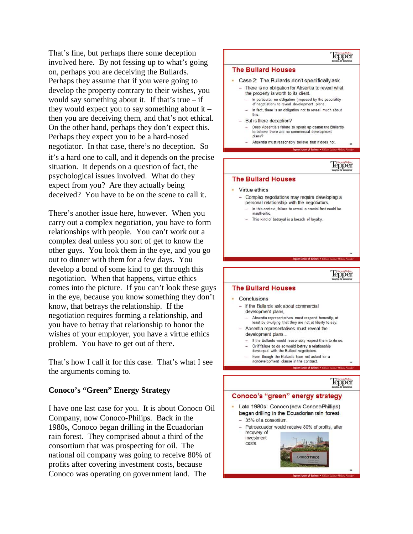That's fine, but perhaps there some deception involved here. By not fessing up to what's going on, perhaps you are deceiving the Bullards. Perhaps they assume that if you were going to develop the property contrary to their wishes, you would say something about it. If that's true  $-$  if they would expect you to say something about it  $$ then you are deceiving them, and that's not ethical. On the other hand, perhaps they don't expect this. Perhaps they expect you to be a hard-nosed negotiator. In that case, there's no deception. So it's a hard one to call, and it depends on the precise situation. It depends on a question of fact, the psychological issues involved. What do they expect from you? Are they actually being deceived? You have to be on the scene to call it.

There's another issue here, however. When you carry out a complex negotiation, you have to form relationships with people. You can't work out a complex deal unless you sort of get to know the other guys. You look them in the eye, and you go out to dinner with them for a few days. You develop a bond of some kind to get through this negotiation. When that happens, virtue ethics comes into the picture. If you can't look these guys in the eye, because you know something they don't know, that betrays the relationship. If the negotiation requires forming a relationship, and you have to betray that relationship to honor the wishes of your employer, you have a virtue ethics problem. You have to get out of there.

That's how I call it for this case. That's what I see the arguments coming to.

# **Conoco's "Green" Energy Strategy**

I have one last case for you. It is about Conoco Oil Company, now Conoco-Philips. Back in the 1980s, Conoco began drilling in the Ecuadorian rain forest. They comprised about a third of the consortium that was prospecting for oil. The national oil company was going to receive 80% of profits after covering investment costs, because Conoco was operating on government land. The

# **lepper**

### **The Bullard Houses**

#### Case 2: The Bullards don't specifically ask.

- There is no obligation for Absentia to reveal what the property is worth to its client.
	- In particular, no obligation (imposed by the possibility
	- of negotiation) to reveal development plans.
	- In fact, there is an obligation not to reveal much about this

#### - But is there deception?

- Does Absentia's failure to speak up cause the Bullards to believe there are no commercial development plans?
- Absentia must reasonably believe that it does not.

Tepper School of Business . II

## lepper

#### **The Bullard Houses**

#### Virtue ethics

- Complex negotiations may require developing a personal relationship with the negotiators.
	- In this context, failure to reveal a crucial fact could be inauthentic
	- This kind of betrayal is a breach of loyalty.

### lepper

#### **The Bullard Houses**

#### Conclusions

- If the Bullards ask about commercial development plans.
	- Absentia representatives, must respond honestly, at least by divulging that they are not at liberty to say.
- Absentia representatives must reveal the
- development plans.
- If the Bullards would reasonably expect them to do so. - Or if failure to do so would betray a relationship
- developed with the Bullard negotiators.
- Even though the Bullards have not asked for a nondevelopment clause in the contract.

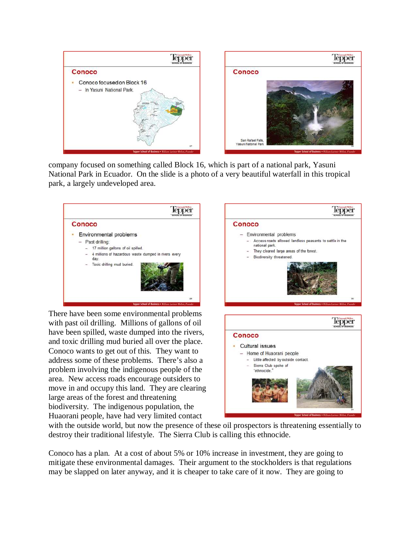

company focused on something called Block 16, which is part of a national park, Yasuni National Park in Ecuador. On the slide is a photo of a very beautiful waterfall in this tropical park, a largely undeveloped area.



There have been some environmental problems with past oil drilling. Millions of gallons of oil have been spilled, waste dumped into the rivers, and toxic drilling mud buried all over the place. Conoco wants to get out of this. They want to address some of these problems. There's also a problem involving the indigenous people of the area. New access roads encourage outsiders to move in and occupy this land. They are clearing large areas of the forest and threatening biodiversity. The indigenous population, the Huaorani people, have had very limited contact



with the outside world, but now the presence of these oil prospectors is threatening essentially to destroy their traditional lifestyle. The Sierra Club is calling this ethnocide.

Conoco has a plan. At a cost of about 5% or 10% increase in investment, they are going to mitigate these environmental damages. Their argument to the stockholders is that regulations may be slapped on later anyway, and it is cheaper to take care of it now. They are going to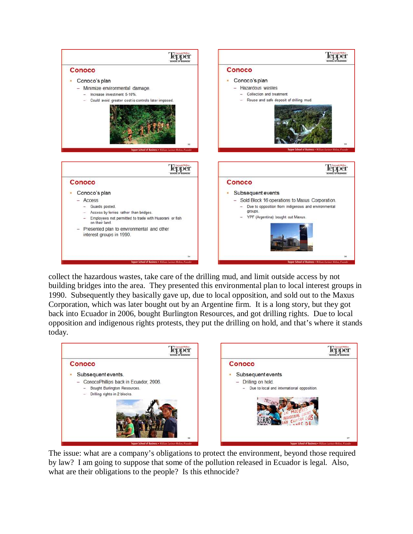

collect the hazardous wastes, take care of the drilling mud, and limit outside access by not building bridges into the area. They presented this environmental plan to local interest groups in 1990. Subsequently they basically gave up, due to local opposition, and sold out to the Maxus Corporation, which was later bought out by an Argentine firm. It is a long story, but they got back into Ecuador in 2006, bought Burlington Resources, and got drilling rights. Due to local opposition and indigenous rights protests, they put the drilling on hold, and that's where it stands today.



The issue: what are a company's obligations to protect the environment, beyond those required by law? I am going to suppose that some of the pollution released in Ecuador is legal. Also, what are their obligations to the people? Is this ethnocide?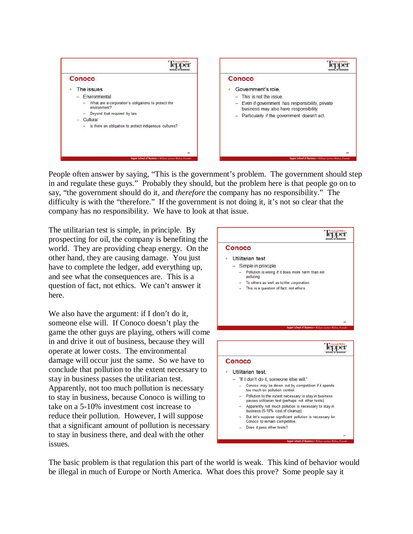

People often answer by saying, "This is the government's problem. The government should step in and regulate these guys." Probably they should, but the problem here is that people go on to say, "the government should do it, and *therefore* the company has no responsibility." The difficulty is with the "therefore." If the government is not doing it, it's not so clear that the company has no responsibility. We have to look at that issue.

The utilitarian test is simple, in principle. By prospecting for oil, the company is benefiting the world. They are providing cheap energy. On the other hand, they are causing damage. You just have to complete the ledger, add everything up, and see what the consequences are. This is a question of fact, not ethics. We can't answer it here.

We also have the argument: if I don't do it, someone else will. If Conoco doesn't play the game the other guys are playing, others will come in and drive it out of business, because they will operate at lower costs. The environmental damage will occur just the same. So we have to conclude that pollution to the extent necessary to stay in business passes the utilitarian test. Apparently, not too much pollution is necessary to stay in business, because Conoco is willing to take on a 5-10% investment cost increase to reduce their pollution. However, I will suppose that a significant amount of pollution is necessary to stay in business there, and deal with the other issues.



The basic problem is that regulation this part of the world is weak. This kind of behavior would be illegal in much of Europe or North America. What does this prove? Some people say it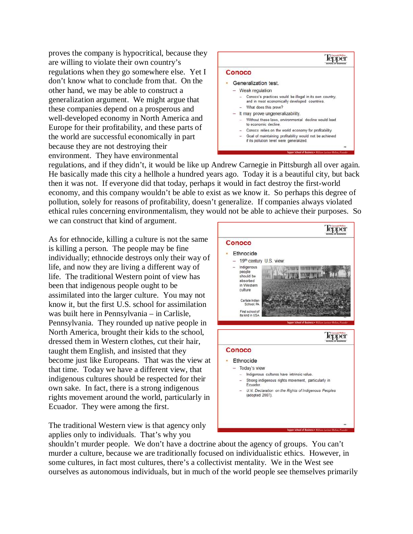proves the company is hypocritical, because they are willing to violate their own country's regulations when they go somewhere else. Yet I don't know what to conclude from that. On the other hand, we may be able to construct a generalization argument. We might argue that these companies depend on a prosperous and well-developed economy in North America and Europe for their profitability, and these parts of the world are successful economically in part because they are not destroying their environment. They have environmental



regulations, and if they didn't, it would be like up Andrew Carnegie in Pittsburgh all over again. He basically made this city a hellhole a hundred years ago. Today it is a beautiful city, but back then it was not. If everyone did that today, perhaps it would in fact destroy the first-world economy, and this company wouldn't be able to exist as we know it. So perhaps this degree of pollution, solely for reasons of profitability, doesn't generalize. If companies always violated ethical rules concerning environmentalism, they would not be able to achieve their purposes. So

we can construct that kind of argument.

As for ethnocide, killing a culture is not the same is killing a person. The people may be fine individually; ethnocide destroys only their way of life, and now they are living a different way of life. The traditional Western point of view has been that indigenous people ought to be assimilated into the larger culture. You may not know it, but the first U.S. school for assimilation was built here in Pennsylvania – in Carlisle, Pennsylvania. They rounded up native people in North America, brought their kids to the school, dressed them in Western clothes, cut their hair, taught them English, and insisted that they become just like Europeans. That was the view at that time. Today we have a different view, that indigenous cultures should be respected for their own sake. In fact, there is a strong indigenous rights movement around the world, particularly in Ecuador. They were among the first.

The traditional Western view is that agency only applies only to individuals. That's why you



shouldn't murder people. We don't have a doctrine about the agency of groups. You can't murder a culture, because we are traditionally focused on individualistic ethics. However, in some cultures, in fact most cultures, there's a collectivist mentality. We in the West see ourselves as autonomous individuals, but in much of the world people see themselves primarily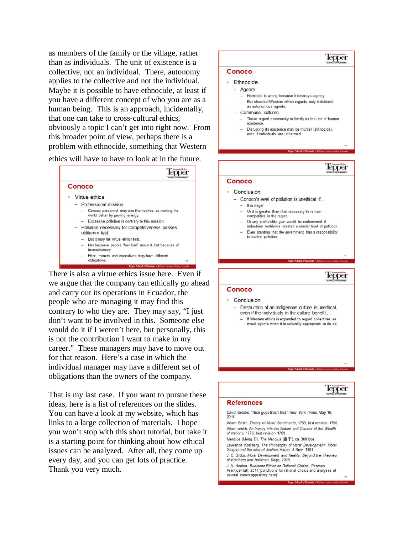as members of the family or the village, rather than as individuals. The unit of existence is a collective, not an individual. There, autonomy applies to the collective and not the individual. Maybe it is possible to have ethnocide, at least if you have a different concept of who you are as a human being. This is an approach, incidentally, that one can take to cross-cultural ethics, obviously a topic I can't get into right now. From this broader point of view, perhaps there is a problem with ethnocide, something that Western

ethics will have to have to look at in the future.



There is also a virtue ethics issue here. Even if we argue that the company can ethically go ahead and carry out its operations in Ecuador, the people who are managing it may find this contrary to who they are. They may say, "I just don't want to be involved in this. Someone else would do it if I weren't here, but personally, this is not the contribution I want to make in my career." These managers may have to move out for that reason. Here's a case in which the individual manager may have a different set of obligations than the owners of the company.

That is my last case. If you want to pursue these ideas, here is a list of references on the slides. You can have a look at my website, which has links to a large collection of materials. I hope you won't stop with this short tutorial, but take it is a starting point for thinking about how ethical issues can be analyzed. After all, they come up every day, and you can get lots of practice. Thank you very much.

# Tepper Conoco · Ethnocide - Agency - Homicide is wrong because it destroys agency. - But classical Western ethics regards only individuals as autonomous agents. - Communal cultures. - These regard community or family as the unit of human existence. - Disrupting its existence may be murder (ethnocide), even if individuals are unharmed lepper Conoco · Conclusion

- Conoco's level of pollution is unethical if...  $-$  It is illegal. - Or it is greater than that necessary to remain competitive in the region. - Or any profitability gain would be undermined if industries worldwide created a similar level of pollution. - Even granting that the government has a responsibility to control pollution Tepper Conoco · Conclusion - Destruction of an indigenous culture is unethical, even if the individuals in the culture benefit
	- If Western ethics is expanded to regard collectives as moral agents when it is culturally appropriate to do so.

lepper

### **References**